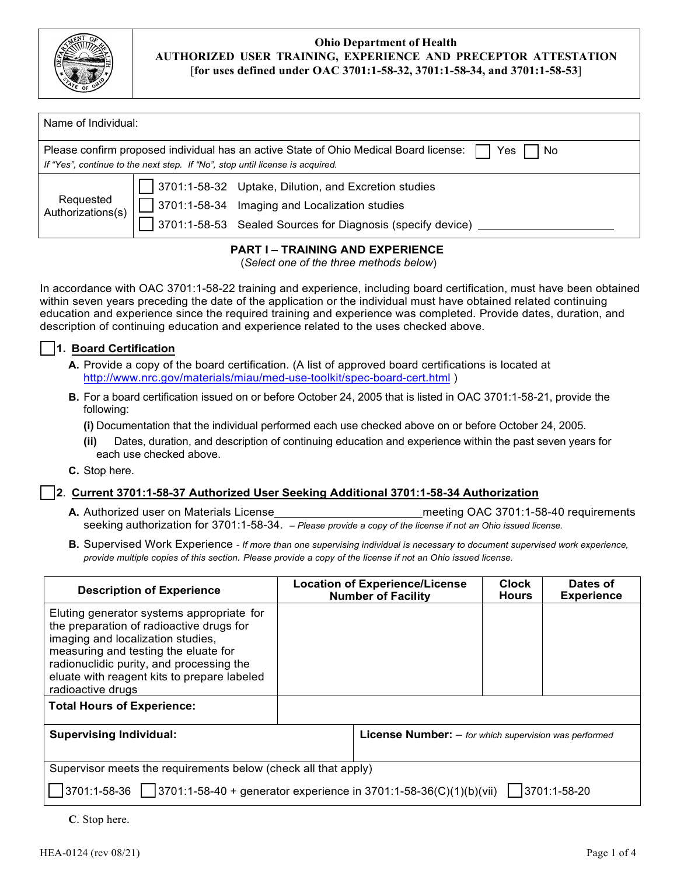

| Name of Individual:                                                                                                                                                                   |                                                                                                                                                                             |  |  |
|---------------------------------------------------------------------------------------------------------------------------------------------------------------------------------------|-----------------------------------------------------------------------------------------------------------------------------------------------------------------------------|--|--|
| Please confirm proposed individual has an active State of Ohio Medical Board license:<br>Yes.<br>No.<br>If "Yes", continue to the next step. If "No", stop until license is acquired. |                                                                                                                                                                             |  |  |
| Requested<br>Authorizations(s)                                                                                                                                                        | 3701:1-58-32 Uptake, Dilution, and Excretion studies<br>$\vert$ 3701:1-58-34 Imaging and Localization studies<br>3701:1-58-53 Sealed Sources for Diagnosis (specify device) |  |  |

# **PART I – TRAINING AND EXPERIENCE**

(*Select one of the three methods below*)

In accordance with OAC 3701:1-58-22 training and experience, including board certification, must have been obtained within seven years preceding the date of the application or the individual must have obtained related continuing education and experience since the required training and experience was completed. Provide dates, duration, and description of continuing education and experience related to the uses checked above.

### ☐ **1. Board Certification**

- **A.** Provide a copy of the board certification. (A list of approved board certifications is located at <http://www.nrc.gov/materials/miau/med-use-toolkit/spec-board-cert.html>)
- **B.** For a board certification issued on or before October 24, 2005 that is listed in OAC 3701:1-58-21, provide the following:

**(i)** Documentation that the individual performed each use checked above on or before October 24, 2005.

- **(ii)** Dates, duration, and description of continuing education and experience within the past seven years for each use checked above.
- **C.** Stop here.

# ☐ **2**. **Current 3701:1-58-37 Authorized User Seeking Additional 3701:1-58-34 Authorization**

- **A.** Authorized user on Materials License meeting OAC 3701:1-58-40 requirements seeking authorization for 3701:1-58-34. – *Please provide a copy of the license if not an Ohio issued license.*
- **B.** Supervised Work Experience *If more than one supervising individual is necessary to document supervised work experience, provide multiple copies of this section. Please provide a copy of the license if not an Ohio issued license.*

| <b>Description of Experience</b>                                                                                                                                                                                                                                                   |  | <b>Location of Experience/License</b><br><b>Number of Facility</b> | <b>Clock</b><br><b>Hours</b> | Dates of<br><b>Experience</b> |
|------------------------------------------------------------------------------------------------------------------------------------------------------------------------------------------------------------------------------------------------------------------------------------|--|--------------------------------------------------------------------|------------------------------|-------------------------------|
| Eluting generator systems appropriate for<br>the preparation of radioactive drugs for<br>imaging and localization studies,<br>measuring and testing the eluate for<br>radionuclidic purity, and processing the<br>eluate with reagent kits to prepare labeled<br>radioactive drugs |  |                                                                    |                              |                               |
| <b>Total Hours of Experience:</b>                                                                                                                                                                                                                                                  |  |                                                                    |                              |                               |
| <b>Supervising Individual:</b>                                                                                                                                                                                                                                                     |  | <b>License Number:</b> $-$ for which supervision was performed     |                              |                               |
| Supervisor meets the requirements below (check all that apply)                                                                                                                                                                                                                     |  |                                                                    |                              |                               |
| $\vert$ 3701:1-58-36 $\vert$ 3701:1-58-40 + generator experience in 3701:1-58-36(C)(1)(b)(vii)<br>3701:1-58-20                                                                                                                                                                     |  |                                                                    |                              |                               |

**C**. Stop here.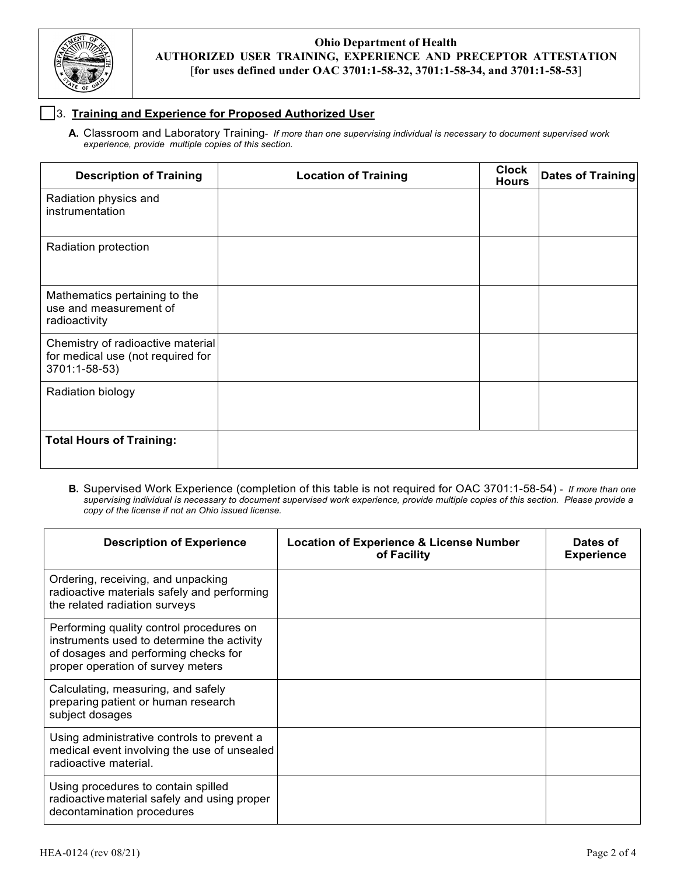

### ☐ 3. **Training and Experience for Proposed Authorized User**

**A.** Classroom and Laboratory Training- *If more than one supervising individual is necessary to document supervised work experience, provide multiple copies of this section.*

| <b>Description of Training</b>                                                          | <b>Location of Training</b> | <b>Clock</b><br><b>Hours</b> | Dates of Training |
|-----------------------------------------------------------------------------------------|-----------------------------|------------------------------|-------------------|
| Radiation physics and<br>instrumentation                                                |                             |                              |                   |
| Radiation protection                                                                    |                             |                              |                   |
| Mathematics pertaining to the<br>use and measurement of<br>radioactivity                |                             |                              |                   |
| Chemistry of radioactive material<br>for medical use (not required for<br>3701:1-58-53) |                             |                              |                   |
| Radiation biology                                                                       |                             |                              |                   |
| <b>Total Hours of Training:</b>                                                         |                             |                              |                   |

**B.** Supervised Work Experience (completion of this table is not required for OAC 3701:1-58-54) - *If more than one supervising individual is necessary to document supervised work experience, provide multiple copies of this section. Please provide a copy of the license if not an Ohio issued license.*

| <b>Description of Experience</b>                                                                                                                                    | <b>Location of Experience &amp; License Number</b><br>of Facility | Dates of<br><b>Experience</b> |
|---------------------------------------------------------------------------------------------------------------------------------------------------------------------|-------------------------------------------------------------------|-------------------------------|
| Ordering, receiving, and unpacking<br>radioactive materials safely and performing<br>the related radiation surveys                                                  |                                                                   |                               |
| Performing quality control procedures on<br>instruments used to determine the activity<br>of dosages and performing checks for<br>proper operation of survey meters |                                                                   |                               |
| Calculating, measuring, and safely<br>preparing patient or human research<br>subject dosages                                                                        |                                                                   |                               |
| Using administrative controls to prevent a<br>medical event involving the use of unsealed<br>radioactive material.                                                  |                                                                   |                               |
| Using procedures to contain spilled<br>radioactive material safely and using proper<br>decontamination procedures                                                   |                                                                   |                               |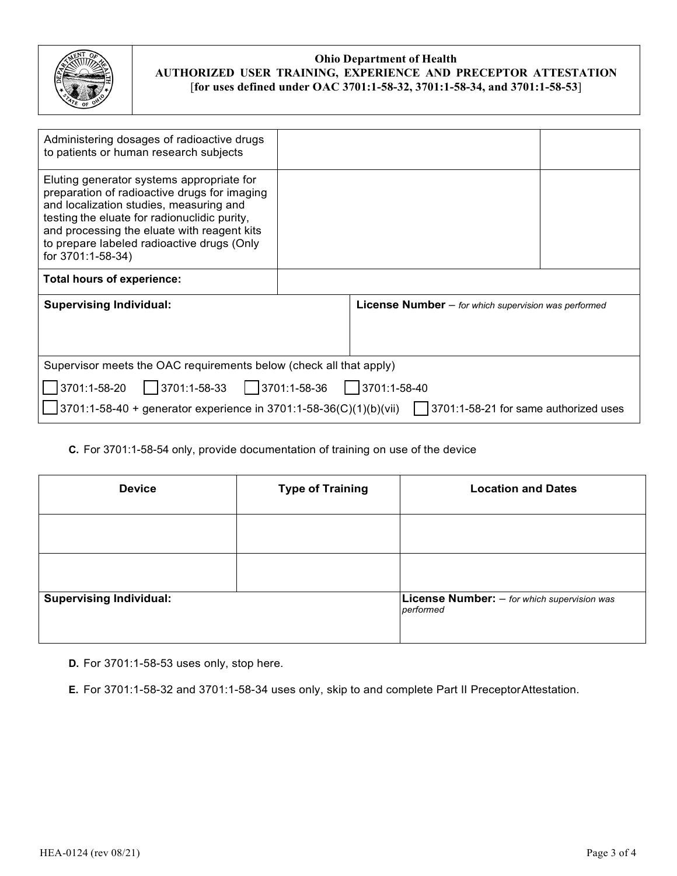

| Administering dosages of radioactive drugs<br>to patients or human research subjects                                                                                                                                                                                                                   |  |  |                                                               |  |
|--------------------------------------------------------------------------------------------------------------------------------------------------------------------------------------------------------------------------------------------------------------------------------------------------------|--|--|---------------------------------------------------------------|--|
| Eluting generator systems appropriate for<br>preparation of radioactive drugs for imaging<br>and localization studies, measuring and<br>testing the eluate for radionuclidic purity,<br>and processing the eluate with reagent kits<br>to prepare labeled radioactive drugs (Only<br>for 3701:1-58-34) |  |  |                                                               |  |
| Total hours of experience:                                                                                                                                                                                                                                                                             |  |  |                                                               |  |
| <b>Supervising Individual:</b>                                                                                                                                                                                                                                                                         |  |  | <b>License Number</b> $-$ for which supervision was performed |  |
| Supervisor meets the OAC requirements below (check all that apply)                                                                                                                                                                                                                                     |  |  |                                                               |  |
| $3701:1-58-33$ 3701:1-58-36 3701:1-58-40<br>3701:1-58-20                                                                                                                                                                                                                                               |  |  |                                                               |  |
| $3701:1-58-40$ + generator experience in 3701:1-58-36(C)(1)(b)(vii)<br>3701:1-58-21 for same authorized uses                                                                                                                                                                                           |  |  |                                                               |  |

**C.** For 3701:1-58-54 only, provide documentation of training on use of the device

| <b>Device</b>                  | <b>Type of Training</b> | <b>Location and Dates</b>                                         |
|--------------------------------|-------------------------|-------------------------------------------------------------------|
|                                |                         |                                                                   |
|                                |                         |                                                                   |
| <b>Supervising Individual:</b> |                         | <b>License Number:</b> $-$ for which supervision was<br>performed |

**D.** For 3701:1-58-53 uses only, stop here.

**E.** For 3701:1-58-32 and 3701:1-58-34 uses only, skip to and complete Part II PreceptorAttestation.